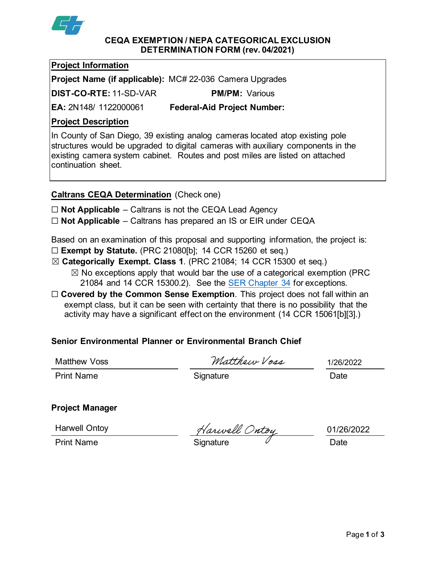

#### **CEQA EXEMPTION / NEPA CATEGORICAL EXCLUSION DETERMINATION FORM (rev. 04/2021)**

## **Project Information**

**Project Name (if applicable):** MC# 22-036 Camera Upgrades

**DIST-CO-RTE:** 11-SD-VAR **PM/PM:** Various

**EA:** 2N148/ 1122000061 **Federal-Aid Project Number:**

# **Project Description**

In County of San Diego, 39 existing analog cameras located atop existing pole structures would be upgraded to digital cameras with auxiliary components in the existing camera system cabinet. Routes and post miles are listed on attached continuation sheet.

## **Caltrans CEQA Determination** (Check one)

☐ **Not Applicable** – Caltrans is not the CEQA Lead Agency

☐ **Not Applicable** – Caltrans has prepared an IS or EIR under CEQA

Based on an examination of this proposal and supporting information, the project is:

- ☐ **Exempt by Statute.** (PRC 21080[b]; 14 CCR 15260 et seq.)
- ☒ **Categorically Exempt. Class 1**. (PRC 21084; 14 CCR 15300 et seq.)
	- $\boxtimes$  No exceptions apply that would bar the use of a categorical exemption (PRC 21084 and 14 CCR 15300.2). See the [SER Chapter 34](https://dot.ca.gov/programs/environmental-analysis/standard-environmental-reference-ser/volume-1-guidance-for-compliance/ch-34-exemptions-to-ceqa#except) for exceptions.
- □ **Covered by the Common Sense Exemption**. This project does not fall within an exempt class, but it can be seen with certainty that there is no possibility that the activity may have a significant effect on the environment (14 CCR 15061[b][3].)

# **Senior Environmental Planner or Environmental Branch Chief**

Matthew Voss

Matthew Voss

Print Name **Signature** Signature **Date** 1/26/2022

**Project Manager**

Harwell Ontoy

Print Name Signature Date

01/26/2022

Page **1** of **3**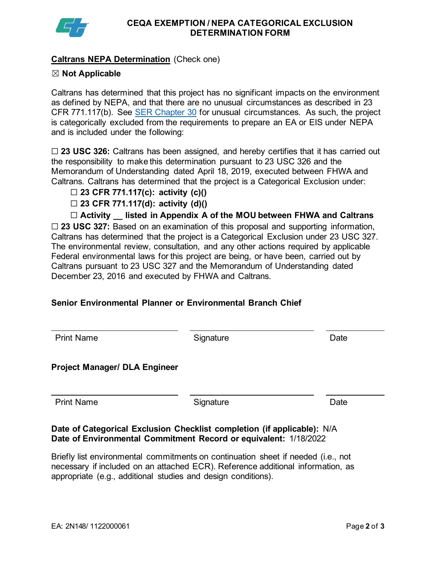

## **Caltrans NEPA Determination** (Check one)

## ☒ **Not Applicable**

Caltrans has determined that this project has no significant impacts on the environment as defined by NEPA, and that there are no unusual circumstances as described in 23 CFR 771.117(b). See [SER Chapter 30](https://dot.ca.gov/programs/environmental-analysis/standard-environmental-reference-ser/volume-1-guidance-for-compliance/ch-30-categorical-exclusions#exception) for unusual circumstances. As such, the project is categorically excluded from the requirements to prepare an EA or EIS under NEPA and is included under the following:

☐ **23 USC 326:** Caltrans has been assigned, and hereby certifies that it has carried out the responsibility to make this determination pursuant to 23 USC 326 and the Memorandum of Understanding dated April 18, 2019, executed between FHWA and Caltrans. Caltrans has determined that the project is a Categorical Exclusion under:

#### ☐ **23 CFR 771.117(c): activity (c)()**

## ☐ **23 CFR 771.117(d): activity (d)()**

☐ **Activity \_\_ listed in Appendix A of the MOU between FHWA and Caltrans**

☐ **23 USC 327:** Based on an examination of this proposal and supporting information, Caltrans has determined that the project is a Categorical Exclusion under 23 USC 327. The environmental review, consultation, and any other actions required by applicable Federal environmental laws for this project are being, or have been, carried out by Caltrans pursuant to 23 USC 327 and the Memorandum of Understanding dated December 23, 2016 and executed by FHWA and Caltrans.

#### **Senior Environmental Planner or Environmental Branch Chief**

| <b>Print Name</b>                    | Signature | Date |
|--------------------------------------|-----------|------|
| <b>Project Manager/ DLA Engineer</b> |           |      |
| <b>Print Name</b>                    | Signature | Date |

#### **Date of Categorical Exclusion Checklist completion (if applicable):** N/A **Date of Environmental Commitment Record or equivalent:** 1/18/2022

Briefly list environmental commitments on continuation sheet if needed (i.e., not necessary if included on an attached ECR). Reference additional information, as appropriate (e.g., additional studies and design conditions).